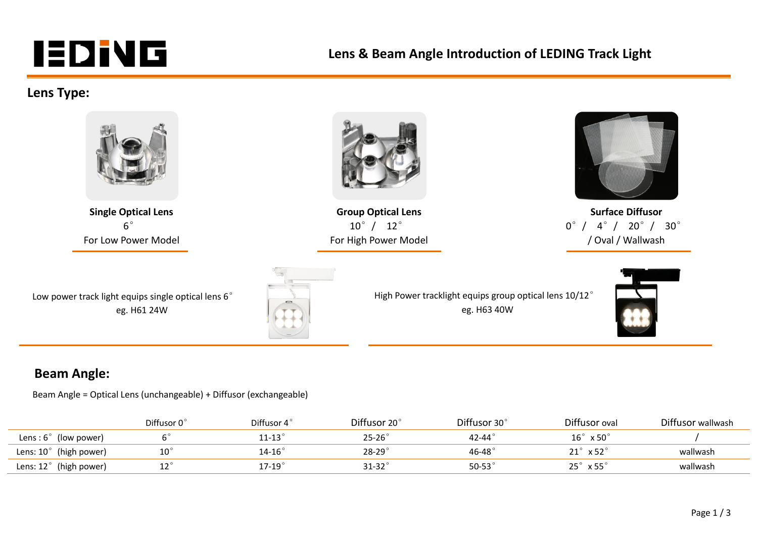# **IEDIVG**

### **Lens & Beam Angle Introduction of LEDING Track Light**

#### **Lens Type:**



 $6^\circ$ For Low Power Model



**Single Optical Lens Group Optical Lens Surface Diffusor** 10°/ 12° For High Power Model



0°/ 4°/ 20°/ 30° / Oval / Wallwash

| Low power track light equips single optical lens 6 $^{\circ}$ |  |
|---------------------------------------------------------------|--|
| eg. H61 24W                                                   |  |



High Power tracklight equips group optical lens 10/12° eg. H63 40W



#### **Beam Angle:**

Beam Angle = Optical Lens (unchangeable) + Diffusor (exchangeable)

|                                 | Diffusor 0° | Diffusor 4        | Diffusor 20°  | Diffusor 30°     | Diffusor oval                       | Diffusor wallwash |
|---------------------------------|-------------|-------------------|---------------|------------------|-------------------------------------|-------------------|
| Lens: $6^\circ$ (low power)     |             | $11$ -13 $^\circ$ | $25-26^\circ$ | 42-44 $^\circ$   | $16^\circ \times 50^\circ$          |                   |
| Lens: $10^{\circ}$ (high power) |             | $14 - 16^{\circ}$ | $28 - 29$     | 46-48 $^{\circ}$ | $21\degree$<br>$\times$ 52 $^\circ$ | wallwash          |
| Lens: $12^{\circ}$ (high power) |             | $17-19$           | $31 - 32$     | 50-53 $\degree$  | $25^\circ \times 55^\circ$          | wallwash          |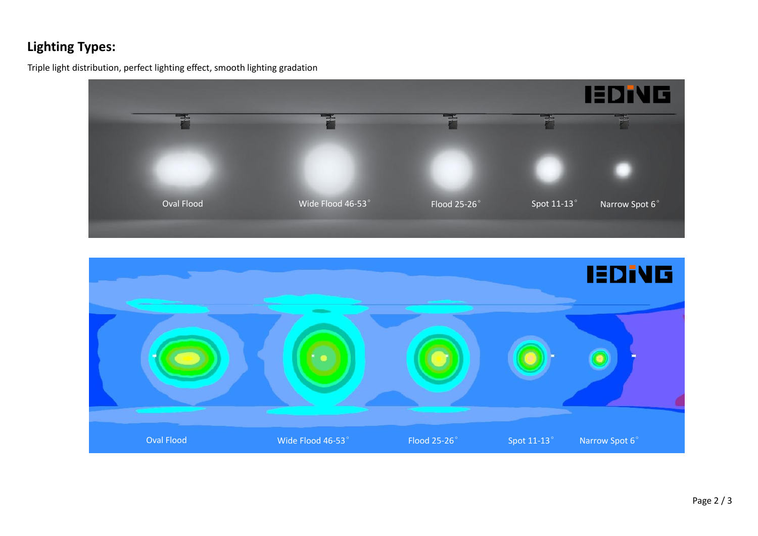## **Lighting Types:**

Triple light distribution, perfect lighting effect, smooth lighting gradation